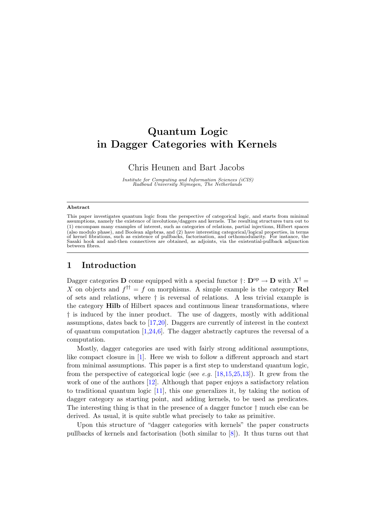# Quantum Logic in Dagger Categories with Kernels

Chris Heunen and Bart Jacobs

Institute for Computing and Information Sciences (iCIS) Radboud University Nijmegen, The Netherlands

#### Abstract

This paper investigates quantum logic from the perspective of categorical logic, and starts from minimal assumptions, namely the existence of involutions/daggers and kernels. The resulting structures turn out to (1) encompass many examples of interest, such as categories of relations, partial injections, Hilbert spaces (also modulo phase), and Boolean algebras, and (2) have interesting categorical/logical properties, in terms of kernel fibrations, such as existence of pullbacks, factorisation, and orthomodularity. For instance, the Sasaki hook and and-then connectives are obtained, as adjoints, via the existential-pullback adjunction between fibres.

# 1 Introduction

Dagger categories **D** come equipped with a special functor  $\dagger:$   $\mathbf{D}^{\text{op}} \to \mathbf{D}$  with  $X^{\dagger} =$ X on objects and  $f^{\dagger \dagger} = f$  on morphisms. A simple example is the category Rel of sets and relations, where † is reversal of relations. A less trivial example is the category Hilb of Hilbert spaces and continuous linear transformations, where † is induced by the inner product. The use of daggers, mostly with additional assumptions, dates back to [\[17,](#page-23-0)[20\]](#page-23-1). Daggers are currently of interest in the context of quantum computation  $[1,24,6]$  $[1,24,6]$  $[1,24,6]$ . The dagger abstractly captures the reversal of a computation.

Mostly, dagger categories are used with fairly strong additional assumptions, like compact closure in [\[1\]](#page-22-0). Here we wish to follow a different approach and start from minimal assumptions. This paper is a first step to understand quantum logic, from the perspective of categorical logic (see e.g.  $[18,15,25,13]$  $[18,15,25,13]$  $[18,15,25,13]$  $[18,15,25,13]$ ). It grew from the work of one of the authors [\[12\]](#page-22-2). Although that paper enjoys a satisfactory relation to traditional quantum logic [\[11\]](#page-22-3), this one generalizes it, by taking the notion of dagger category as starting point, and adding kernels, to be used as predicates. The interesting thing is that in the presence of a dagger functor † much else can be derived. As usual, it is quite subtle what precisely to take as primitive.

Upon this structure of "dagger categories with kernels" the paper constructs pullbacks of kernels and factorisation (both similar to [\[8\]](#page-22-4)). It thus turns out that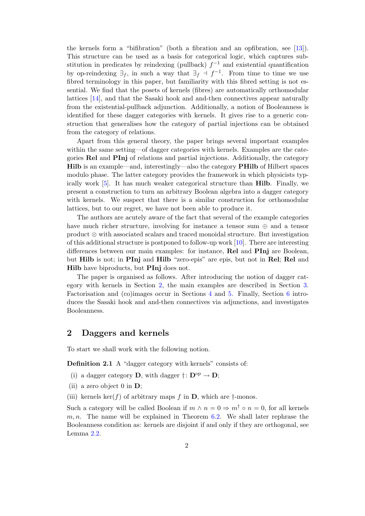the kernels form a "bifibration" (both a fibration and an opfibration, see [\[13\]](#page-23-6)). This structure can be used as a basis for categorical logic, which captures substitution in predicates by reindexing (pullback)  $f^{-1}$  and existential quantification by op-reindexing  $\exists_f$ , in such a way that  $\exists_f \dashv f^{-1}$ . From time to time we use fibred terminology in this paper, but familiarity with this fibred setting is not essential. We find that the posets of kernels (fibres) are automatically orthomodular lattices [\[14\]](#page-23-7), and that the Sasaki hook and and-then connectives appear naturally from the existential-pullback adjunction. Additionally, a notion of Booleanness is identified for these dagger categories with kernels. It gives rise to a generic construction that generalises how the category of partial injections can be obtained from the category of relations.

Apart from this general theory, the paper brings several important examples within the same setting—of dagger categories with kernels. Examples are the categories Rel and PInj of relations and partial injections. Additionally, the category Hilb is an example—and, interestingly—also the category PHilb of Hilbert spaces modulo phase. The latter category provides the framework in which physicists typically work [\[5\]](#page-22-5). It has much weaker categorical structure than Hilb. Finally, we present a construction to turn an arbitrary Boolean algebra into a dagger category with kernels. We suspect that there is a similar construction for orthomodular lattices, but to our regret, we have not been able to produce it.

The authors are acutely aware of the fact that several of the example categories have much richer structure, involving for instance a tensor sum ⊕ and a tensor product ⊗ with associated scalars and traced monoidal structure. But investigation of this additional structure is postponed to follow-up work  $[10]$ . There are interesting differences between our main examples: for instance, Rel and PInj are Boolean, but Hilb is not; in PInj and Hilb "zero-epis" are epis, but not in Rel; Rel and Hilb have biproducts, but PInj does not.

The paper is organised as follows. After introducing the notion of dagger category with kernels in Section [2,](#page-1-0) the main examples are described in Section [3.](#page-6-0) Factorisation and (co)images occur in Sections [4](#page-12-0) and [5.](#page-16-0) Finally, Section [6](#page-18-0) introduces the Sasaki hook and and-then connectives via adjunctions, and investigates Booleanness.

# <span id="page-1-0"></span>2 Daggers and kernels

To start we shall work with the following notion.

<span id="page-1-1"></span>Definition 2.1 A "dagger category with kernels" consists of:

- (i) a dagger category **D**, with dagger  $\dagger: \mathbf{D}^{\text{op}} \to \mathbf{D}$ ;
- (ii) a zero object 0 in  $\mathbf{D}$ ;
- (iii) kernels ker(f) of arbitrary maps f in  $\mathbf{D}$ , which are  $\dagger$ -monos.

Such a category will be called Boolean if  $m \wedge n = 0 \Rightarrow m^{\dagger} \circ n = 0$ , for all kernels  $m, n$ . The name will be explained in Theorem [6.2.](#page-19-0) We shall later rephrase the Booleanness condition as: kernels are disjoint if and only if they are orthogonal, see Lemma [2.2.](#page-2-0)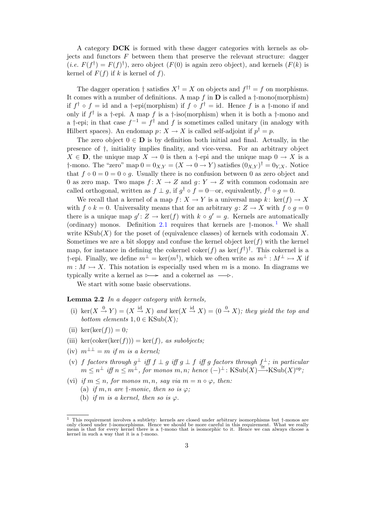A category DCK is formed with these dagger categories with kernels as objects and functors  $F$  between them that preserve the relevant structure: dagger  $(i.e. F(f^{\dagger}) = F(f)^{\dagger})$ , zero object  $(F(0))$  is again zero object), and kernels  $(F(k))$  is kernel of  $F(f)$  if k is kernel of f).

The dagger operation  $\dagger$  satisfies  $X^{\dagger} = X$  on objects and  $f^{\dagger \dagger} = f$  on morphisms. It comes with a number of definitions. A map f in  $\bf{D}$  is called a  $\dagger$ -mono(morphism) if  $f^{\dagger} \circ f = id$  and a  $\dagger$ -epi(morphism) if  $f \circ f^{\dagger} = id$ . Hence f is a  $\dagger$ -mono if and only if  $f^{\dagger}$  is a  $\dagger$ -epi. A map f is a  $\dagger$ -iso(morphism) when it is both a  $\dagger$ -mono and a †-epi; in that case  $f^{-1} = f^{\dagger}$  and f is sometimes called unitary (in analogy with Hilbert spaces). An endomap  $p: X \to X$  is called self-adjoint if  $p^{\dagger} = p$ .

The zero object  $0 \in \mathbf{D}$  is by definition both initial and final. Actually, in the presence of †, initiality implies finality, and vice-versa. For an arbitrary object  $X \in \mathbf{D}$ , the unique map  $X \to 0$  is then a †-epi and the unique map  $0 \to X$  is a †-mono. The "zero" map  $0 = 0_{X,Y} = (X \to 0 \to Y)$  satisfies  $(0_{X,Y})^{\dagger} = 0_{Y,X}$ . Notice that  $f \circ 0 = 0 = 0 \circ g$ . Usually there is no confusion between 0 as zero object and 0 as zero map. Two maps  $f: X \to Z$  and  $g: Y \to Z$  with common codomain are called orthogonal, written as  $f \perp g$ , if  $g^{\dagger} \circ f = 0$ —or, equivalently,  $f^{\dagger} \circ g = 0$ .

We recall that a kernel of a map  $f: X \to Y$  is a universal map  $k: \text{ker}(f) \to X$ with  $f \circ k = 0$ . Universality means that for an arbitrary  $q: Z \to X$  with  $f \circ q = 0$ there is a unique map  $g' : Z \to \text{ker}(f)$  with  $k \circ g' = g$ . Kernels are automatically (ordinary) monos. Definition [2.1](#page-1-1) requires that kernels are  $\dagger$ -monos.<sup>[1](#page-2-1)</sup> We shall write  $\text{KSub}(X)$  for the poset of (equivalence classes) of kernels with codomain X. Sometimes we are a bit sloppy and confuse the kernel object  $\ker(f)$  with the kernel map, for instance in defining the cokernel coker( $f$ ) as ker( $f^{\dagger}$ )<sup>†</sup>. This cokernel is a †-epi. Finally, we define  $m^{\perp} = \text{ker}(m^{\dagger})$ , which we often write as  $m^{\perp} : M^{\perp} \rightarrow X$  if  $m : M \rightarrow X$ . This notation is especially used when m is a mono. In diagrams we typically write a kernel as  $\rightarrow$  and a cokernel as  $\rightarrow$ .

We start with some basic observations.

<span id="page-2-0"></span>Lemma 2.2 In a dagger category with kernels.

- (i) ker $(X \stackrel{0}{\to} Y) = (X \stackrel{\text{id}}{\to} X)$  and ker $(X \stackrel{\text{id}}{\to} X) = (0 \stackrel{0}{\to} X)$ ; they yield the top and bottom elements  $1, 0 \in$  KSub $(X)$ ;
- (ii) ker(ker(f)) = 0;
- (iii) ker(coker(ker(f))) = ker(f), as subobjects;
- (iv)  $m^{\perp \perp} = m$  if m is a kernel;
- (v) f factors through  $g^{\perp}$  iff  $f \perp g$  iff  $g \perp f$  iff g factors through  $f^{\perp}$ ; in particular  $m \leq n^{\perp}$  iff  $n \leq m^{\perp}$ , for monos  $m, n$ ; hence  $(-)^{\perp}$ :  $\text{KSub}(X) \rightarrow \text{KSub}(X)^{op}$ ;
- (vi) if  $m \leq n$ , for monos m, n, say via  $m = n \circ \varphi$ , then:
	- (a) if m, n are  $\dagger$ -monic, then so is  $\varphi$ ;
	- (b) if m is a kernel, then so is  $\varphi$ .

<span id="page-2-1"></span><sup>1</sup> This requirement involves a subtlety: kernels are closed under arbitrary isomorphisms but †-monos are only closed under †-isomorphisms. Hence we should be more careful in this requirement. What we really mean is that for every kernel there is a †-mono that is isomorphic to it. Hence we can always choose a kernel in such a way that it is a †-mono.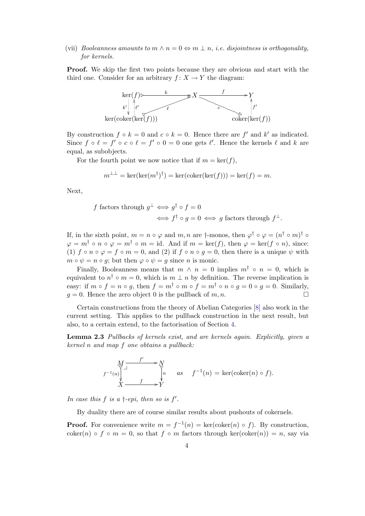(vii) Booleanness amounts to  $m \wedge n = 0 \Leftrightarrow m \perp n$ , *i.e.* disjointness is orthogonality, for kernels.

Proof. We skip the first two points because they are obvious and start with the third one. Consider for an arbitrary  $f: X \to Y$  the diagram:



By construction  $f \circ k = 0$  and  $c \circ k = 0$ . Hence there are  $f'$  and  $k'$  as indicated. Since  $f \circ \ell = f' \circ c \circ \ell = f' \circ 0 = 0$  one gets  $\ell'$ . Hence the kernels  $\ell$  and  $k$  are equal, as subobjects.

For the fourth point we now notice that if  $m = \text{ker}(f)$ ,

$$
m^{\perp \perp} = \ker(\ker(m^{\dagger})^{\dagger}) = \ker(\operatorname{coker}(\ker(f))) = \ker(f) = m.
$$

Next,

f factors through 
$$
g^{\perp} \iff g^{\dagger} \circ f = 0
$$
  
 $\iff f^{\dagger} \circ g = 0 \iff g$  factors through  $f^{\perp}$ .

If, in the sixth point,  $m = n \circ \varphi$  and  $m, n$  are  $\dagger$ -monos, then  $\varphi^{\dagger} \circ \varphi = (n^{\dagger} \circ m)^{\dagger} \circ$  $\varphi = m^{\dagger} \circ n \circ \varphi = m^{\dagger} \circ m = \text{id}$ . And if  $m = \text{ker}(f)$ , then  $\varphi = \text{ker}(f \circ n)$ , since: (1) f o n o  $\varphi = f \circ m = 0$ , and (2) if  $f \circ n \circ g = 0$ , then there is a unique  $\psi$  with  $m \circ \psi = n \circ q$ ; but then  $\varphi \circ \psi = q$  since *n* is monic.

Finally, Booleanness means that  $m \wedge n = 0$  implies  $m^{\dagger} \circ n = 0$ , which is equivalent to  $n^{\dagger} \circ m = 0$ , which is  $m \perp n$  by definition. The reverse implication is easy: if  $m \circ f = n \circ g$ , then  $f = m^{\dagger} \circ m \circ f = m^{\dagger} \circ n \circ g = 0 \circ g = 0$ . Similarly,  $q = 0$ . Hence the zero object 0 is the pullback of m, n.

Certain constructions from the theory of Abelian Categories [\[8\]](#page-22-4) also work in the current setting. This applies to the pullback construction in the next result, but also, to a certain extend, to the factorisation of Section [4.](#page-12-0)

<span id="page-3-0"></span>Lemma 2.3 Pullbacks of kernels exist, and are kernels again. Explicitly, given a kernel n and map f one obtains a pullback:

$$
\begin{array}{ccc}\nM & f' & \longrightarrow N \\
f^{-1}(n) & \downarrow & \downarrow \\
X & f & \downarrow Y \\
X & \longrightarrow Y\n\end{array}\n\quad as \quad f^{-1}(n) = \ker(\mathrm{coker}(n) \circ f).
$$

In case this  $f$  is a  $\dagger$ -epi, then so is  $f'$ .

By duality there are of course similar results about pushouts of cokernels.

**Proof.** For convenience write  $m = f^{-1}(n) = \text{ker}(\text{coker}(n) \circ f)$ . By construction, coker(n) ◦ f ◦ m = 0, so that f ◦ m factors through ker(coker(n)) = n, say via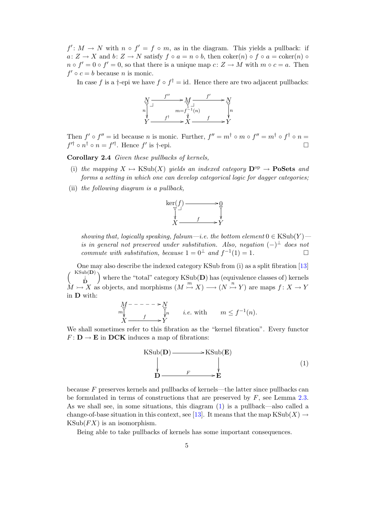$f' : M \to N$  with  $n \circ f' = f \circ m$ , as in the diagram. This yields a pullback: if  $a: Z \to X$  and  $b: Z \to N$  satisfy  $f \circ a = n \circ b$ , then  $\text{coker}(n) \circ f \circ a = \text{coker}(n) \circ f$  $n \circ f' = 0 \circ f' = 0$ , so that there is a unique map  $c: Z \to M$  with  $m \circ c = a$ . Then  $f' \circ c = b$  because *n* is monic.

In case f is a †-epi we have  $f \circ f^{\dagger} = id$ . Hence there are two adjacent pullbacks:



Then  $f' \circ f'' = id$  because n is monic. Further,  $f'' = m^{\dagger} \circ m \circ f'' = m^{\dagger} \circ f^{\dagger} \circ n =$  $f'^{\dagger} \circ n^{\dagger} \circ n = f'^{\dagger}$ . Hence  $f'$  is  $\dagger$ -epi.

<span id="page-4-1"></span>Corollary 2.4 Given these pullbacks of kernels,

- (i) the mapping  $X \mapsto \text{KSub}(X)$  yields an indexed category  $\mathbf{D}^{\text{op}} \to \mathbf{PoSets}$  and forms a setting in which one can develop categorical logic for dagger categories;
- (ii) the following diagram is a pullback,



showing that, logically speaking, falsum—i.e. the bottom element  $0 \in \text{KSub}(Y)$  is in general not preserved under substitution. Also, negation  $(-)^\perp$  does not commute with substitution, because  $1 = 0^{\perp}$  and  $f^{-1}(1) = 1$ .

One may also describe the indexed category KSub from (i) as a split fibration [\[13\]](#page-23-6)  $\begin{pmatrix} \n\text{KSub}(\mathbf{D}) \\
\downarrow \\
\mathbf{D}\n\end{pmatrix}$ where the "total" category  $KSub(D)$  has (equivalence classes of) kernels  $M \rightarrow X$  as objects, and morphisms  $(M \stackrel{m}{\rightarrow} X) \rightarrow (N \stackrel{n}{\rightarrow} Y)$  are maps  $f: X \rightarrow Y$ in D with:

$$
M^{-----\n \longrightarrow N}_{m\downarrow} \qquad \qquad \frac{N}{r} \qquad i.e. \text{ with } \qquad m \le f^{-1}(n).
$$
  

$$
X \longrightarrow Y
$$

We shall sometimes refer to this fibration as the "kernel fibration". Every functor  $F: \mathbf{D} \to \mathbf{E}$  in DCK induces a map of fibrations:

<span id="page-4-0"></span>

because F preserves kernels and pullbacks of kernels—the latter since pullbacks can be formulated in terms of constructions that are preserved by  $F$ , see Lemma [2.3.](#page-3-0) As we shall see, in some situations, this diagram [\(1\)](#page-4-0) is a pullback—also called a change-of-base situation in this context, see [\[13\]](#page-23-6). It means that the map  $\text{KSub}(X) \to$  $KSub(FX)$  is an isomorphism.

<span id="page-4-2"></span>Being able to take pullbacks of kernels has some important consequences.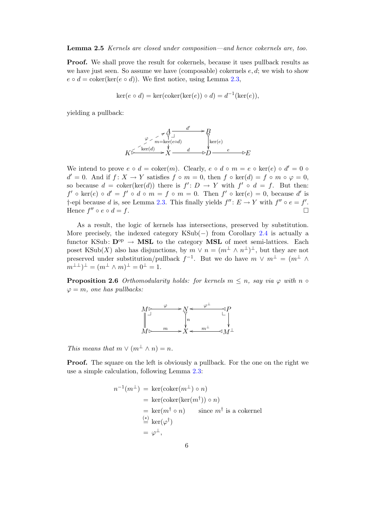## Lemma 2.5 Kernels are closed under composition—and hence cokernels are, too.

**Proof.** We shall prove the result for cokernels, because it uses pullback results as we have just seen. So assume we have (composable) cokernels  $e, d$ ; we wish to show  $e \circ d = \text{coker}(\ker(e \circ d))$ . We first notice, using Lemma [2.3,](#page-3-0)

$$
ker(e \circ d) = ker(coker(ker(e)) \circ d) = d^{-1}(ker(e)),
$$

yielding a pullback:



We intend to prove  $e \circ d = \text{coker}(m)$ . Clearly,  $e \circ d \circ m = e \circ \text{ker}(e) \circ d' = 0$  $d' = 0$ . And if  $f: X \to Y$  satisfies  $f \circ m = 0$ , then  $f \circ \text{ker}(d) = f \circ m \circ \varphi = 0$ , so because  $d = \text{coker}(\text{ker}(d))$  there is  $f' : D \to Y$  with  $f' \circ d = f$ . But then:  $f' \circ \ker(e) \circ d' = f' \circ d \circ m = f \circ m = 0$ . Then  $f' \circ \ker(e) = 0$ , because d' is †-epi because d is, see Lemma [2.3.](#page-3-0) This finally yields  $f'' : E \to Y$  with  $f'' \circ e = f'$ . Hence  $f'' \circ e \circ d = f$ .

As a result, the logic of kernels has intersections, preserved by substitution. More precisely, the indexed category KSub(−) from Corollary [2.4](#page-4-1) is actually a functor KSub:  $\mathbf{D}^{\mathrm{op}} \to \mathbf{MSL}$  to the category **MSL** of meet semi-lattices. Each poset KSub(X) also has disjunctions, by  $m \vee n = (m^{\perp} \wedge n^{\perp})^{\perp}$ , but they are not preserved under substitution/pullback  $f^{-1}$ . But we do have  $m \vee m^{\perp} = (m^{\perp} \wedge$  $m^{\perp \perp})^{\perp} = (m^{\perp} \wedge m)^{\perp} = 0^{\perp} = 1.$ 

**Proposition 2.6** Orthomodularity holds: for kernels  $m \leq n$ , say via  $\varphi$  with  $n \circ$  $\varphi = m$ , one has pullbacks:



This means that  $m \vee (m^{\perp} \wedge n) = n$ .

**Proof.** The square on the left is obviously a pullback. For the one on the right we use a simple calculation, following Lemma [2.3:](#page-3-0)

$$
n^{-1}(m^{\perp}) = \ker(\text{coker}(m^{\perp}) \circ n)
$$
  
=  $\ker(\text{coker}(\ker(m^{\dagger})) \circ n)$   
=  $\ker(m^{\dagger} \circ n)$  since  $m^{\dagger}$  is a cokernel  
 $\stackrel{(*)}{=} \ker(\varphi^{\dagger})$   
=  $\varphi^{\perp}$ ,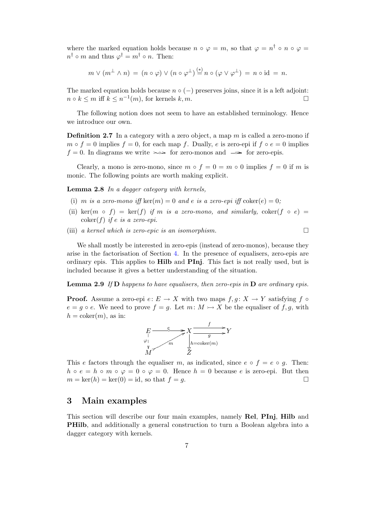where the marked equation holds because  $n \circ \varphi = m$ , so that  $\varphi = n^{\dagger} \circ n \circ \varphi =$  $n^{\dagger} \circ m$  and thus  $\varphi^{\dagger} = m^{\dagger} \circ n$ . Then:

$$
m \vee (m^{\perp} \wedge n) = (n \circ \varphi) \vee (n \circ \varphi^{\perp}) \stackrel{(*)}{=} n \circ (\varphi \vee \varphi^{\perp}) = n \circ id = n.
$$

The marked equation holds because  $n \circ (-)$  preserves joins, since it is a left adjoint:  $n \circ k \le m$  iff  $k \le n^{-1}(m)$ , for kernels  $k, m$ .

The following notion does not seem to have an established terminology. Hence we introduce our own.

**Definition 2.7** In a category with a zero object, a map  $m$  is called a zero-mono if  $m \circ f = 0$  implies  $f = 0$ , for each map f. Dually, e is zero-epi if  $f \circ e = 0$  implies  $f = 0$ . In diagrams we write  $\rightarrow \infty$  for zero-monos and  $\rightarrow \infty$  for zero-epis.

Clearly, a mono is zero-mono, since  $m \circ f = 0 = m \circ 0$  implies  $f = 0$  if m is monic. The following points are worth making explicit.

<span id="page-6-1"></span>Lemma 2.8 In a dagger category with kernels,

- (i) m is a zero-mono iff ker $(m) = 0$  and e is a zero-epi iff  $\text{coker}(e) = 0$ ;
- (ii) ker $(m \circ f) = \ker(f)$  if m is a zero-mono, and similarly, coker $(f \circ e)$  $\operatorname{coker}(f)$  if e is a zero-epi.
- (iii) a kernel which is zero-epic is an isomorphism.  $\Box$

We shall mostly be interested in zero-epis (instead of zero-monos), because they arise in the factorisation of Section [4.](#page-12-0) In the presence of equalisers, zero-epis are ordinary epis. This applies to Hilb and PInj. This fact is not really used, but is included because it gives a better understanding of the situation.

<span id="page-6-2"></span>**Lemma 2.9** If  $D$  happens to have equalisers, then zero-epis in  $D$  are ordinary epis.

**Proof.** Assume a zero-epi  $e: E \to X$  with two maps  $f, g: X \to Y$  satisfying f  $\circ$  $e = q \circ e$ . We need to prove  $f = q$ . Let  $m: M \rightarrow X$  be the equaliser of f, q, with  $h = \text{coker}(m)$ , as in:



This e factors through the equaliser m, as indicated, since  $e \circ f = e \circ q$ . Then:  $h \circ e = h \circ m \circ \varphi = 0 \circ \varphi = 0$ . Hence  $h = 0$  because e is zero-epi. But then  $m = \ker(h) = \ker(0) = id$ , so that  $f = q$ .

## <span id="page-6-0"></span>3 Main examples

This section will describe our four main examples, namely Rel, PInj, Hilb and PHilb, and additionally a general construction to turn a Boolean algebra into a dagger category with kernels.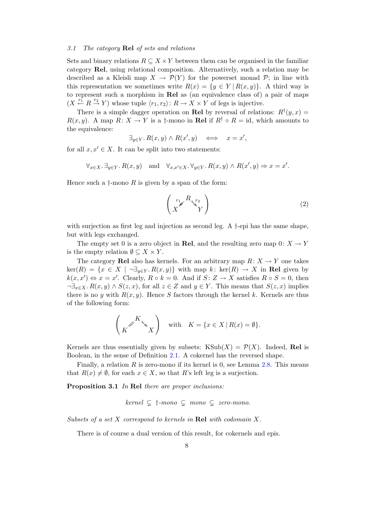## 3.1 The category Rel of sets and relations

Sets and binary relations  $R \subseteq X \times Y$  between them can be organised in the familiar category Rel, using relational composition. Alternatively, such a relation may be described as a Kleisli map  $X \to \mathcal{P}(Y)$  for the powerset monad  $\mathcal{P}$ ; in line with this representation we sometimes write  $R(x) = \{y \in Y | R(x, y)\}\$ . A third way is to represent such a morphism in Rel as (an equivalence class of) a pair of maps  $(X \stackrel{r_1}{\leftarrow} R \stackrel{r_2}{\rightarrow} Y)$  whose tuple  $\langle r_1, r_2 \rangle: R \rightarrow X \times Y$  of legs is injective.

There is a simple dagger operation on Rel by reversal of relations:  $R^{\dagger}(y, x) =$  $R(x, y)$ . A map  $R: X \to Y$  is a †-mono in **Rel** if  $R^{\dagger} \circ R = id$ , which amounts to the equivalence:

$$
\exists_{y \in Y} . R(x, y) \land R(x', y) \iff x = x',
$$

for all  $x, x' \in X$ . It can be split into two statements:

$$
\forall_{x\in X}.\ \exists_{y\in Y}.\ R(x,y) \quad \text{and} \quad \forall_{x,x'\in X}.\ \forall_{y\in Y}.\ R(x,y) \land R(x',y) \Rightarrow x=x'.
$$

Hence such a  $\dagger$ -mono R is given by a span of the form:

$$
\begin{pmatrix} r_1 \mathcal{F} & R_{\sqrt{r_2}} \\ X & Y \end{pmatrix} \tag{2}
$$

with surjection as first leg and injection as second leg. A †-epi has the same shape, but with legs exchanged.

The empty set 0 is a zero object in Rel, and the resulting zero map  $0: X \to Y$ is the empty relation  $\emptyset \subseteq X \times Y$ .

The category Rel also has kernels. For an arbitrary map  $R: X \to Y$  one takes  $\ker(R) = \{x \in X \mid \neg \exists_{y \in Y} R(x, y)\}\$  with map k:  $\ker(R) \to X$  in Rel given by  $k(x, x') \Leftrightarrow x = x'$ . Clearly,  $R \circ k = 0$ . And if  $S: Z \to X$  satisfies  $R \circ S = 0$ , then  $\neg \exists_{x \in X} R(x, y) \land S(z, x)$ , for all  $z \in Z$  and  $y \in Y$ . This means that  $S(z, x)$  implies there is no y with  $R(x, y)$ . Hence S factors through the kernel k. Kernels are thus of the following form:

$$
\left(K^{\mathscr{K}_{\mathbb{Q}}}\right) \quad \text{with} \quad K = \{x \in X \mid R(x) = \emptyset\}.
$$

Kernels are thus essentially given by subsets:  $KSub(X) = \mathcal{P}(X)$ . Indeed, Rel is Boolean, in the sense of Definition [2.1.](#page-1-1) A cokernel has the reversed shape.

Finally, a relation  $R$  is zero-mono if its kernel is 0, see Lemma [2.8.](#page-6-1) This means that  $R(x) \neq \emptyset$ , for each  $x \in X$ , so that R's left leg is a surjection.

<span id="page-7-0"></span>Proposition 3.1 In Rel there are proper inclusions:

$$
kernel \subsetneq \dagger \text{-}mono \subsetneq \text{mono} \subsetneq \text{zero-mono}.
$$

Subsets of a set X correspond to kernels in Rel with codomain X.

There is of course a dual version of this result, for cokernels and epis.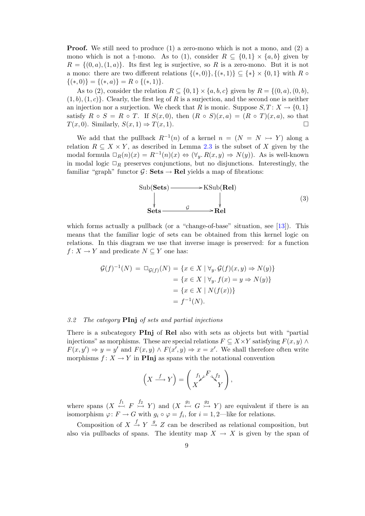**Proof.** We still need to produce (1) a zero-mono which is not a mono, and (2) a mono which is not a †-mono. As to (1), consider  $R \subseteq \{0,1\} \times \{a,b\}$  given by  $R = \{(0, a), (1, a)\}.$  Its first leg is surjective, so R is a zero-mono. But it is not a mono: there are two different relations  $\{(*,0)\}, \{(*,1)\} \subseteq \{*\} \times \{0,1\}$  with R  $\circ$  $\{(*,0)\} = \{(*,a)\} = R \circ \{(*,1)\}.$ 

As to (2), consider the relation  $R \subseteq \{0,1\} \times \{a,b,c\}$  given by  $R = \{(0,a), (0,b),\}$  $(1, b), (1, c)$ . Clearly, the first leg of R is a surjection, and the second one is neither an injection nor a surjection. We check that R is monic. Suppose  $S, T: X \to \{0, 1\}$ satisfy  $R \circ S = R \circ T$ . If  $S(x, 0)$ , then  $(R \circ S)(x, a) = (R \circ T)(x, a)$ , so that  $T(x, 0)$ . Similarly,  $S(x, 1) \Rightarrow T(x, 1)$ .

We add that the pullback  $R^{-1}(n)$  of a kernel  $n = (N = N \rightarrow Y)$  along a relation  $R \subseteq X \times Y$ , as described in Lemma [2.3](#page-3-0) is the subset of X given by the modal formula  $\Box_R(n)(x) = R^{-1}(n)(x) \Leftrightarrow (\forall_y R(x, y) \Rightarrow N(y))$ . As is well-known in modal logic  $\Box_R$  preserves conjunctions, but no disjunctions. Interestingly, the familiar "graph" functor  $\mathcal{G} \colon \mathbf{Sets} \to \mathbf{Rel}$  yields a map of fibrations:

<span id="page-8-0"></span>Sub(Sets) 
$$
\longrightarrow
$$
 KSub(Rel)  
\n
$$
\downarrow
$$
\nSets -  $\frac{G}{\longrightarrow}$  Rel

which forms actually a pullback (or a "change-of-base" situation, see [\[13\]](#page-23-6)). This means that the familiar logic of sets can be obtained from this kernel logic on relations. In this diagram we use that inverse image is preserved: for a function  $f: X \to Y$  and predicate  $N \subseteq Y$  one has:

$$
\mathcal{G}(f)^{-1}(N) = \Box_{\mathcal{G}(f)}(N) = \{x \in X \mid \forall y. \mathcal{G}(f)(x, y) \Rightarrow N(y)\}
$$

$$
= \{x \in X \mid \forall y. f(x) = y \Rightarrow N(y)\}
$$

$$
= \{x \in X \mid N(f(x))\}
$$

$$
= f^{-1}(N).
$$

## 3.2 The category PInj of sets and partial injections

There is a subcategory **PInj** of **Rel** also with sets as objects but with "partial" injections" as morphisms. These are special relations  $F \subseteq X \times Y$  satisfying  $F(x, y) \wedge$  $F(x, y') \Rightarrow y = y'$  and  $F(x, y) \land F(x', y) \Rightarrow x = x'$ . We shall therefore often write morphisms  $f: X \to Y$  in **PInj** as spans with the notational convention

$$
\left(X \xrightarrow{f} Y\right) = \left(\begin{array}{c} f_1 \swarrow^F \searrow^{f_2} \\ X \end{array}\right),
$$

where spans  $(X \stackrel{f_1}{\leftarrow} F \stackrel{f_2}{\rightarrow} Y)$  and  $(X \stackrel{g_1}{\leftarrow} G \stackrel{g_2}{\rightarrow} Y)$  are equivalent if there is an isomorphism  $\varphi \colon F \to G$  with  $g_i \circ \varphi = f_i$ , for  $i = 1, 2$ —like for relations.

Composition of  $X \stackrel{f}{\rightarrow} Y \stackrel{g}{\rightarrow} Z$  can be described as relational composition, but also via pullbacks of spans. The identity map  $X \to X$  is given by the span of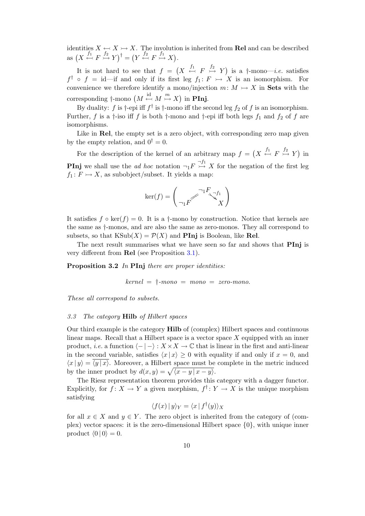identities  $X \leftrightarrow X \rightarrow X$ . The involution is inherited from **Rel** and can be described  $\operatorname{as} \left(X \stackrel{f_1}{\leftarrow} F \stackrel{f_2}{\rightarrowtail} Y\right)^{\dagger} = \left(Y \stackrel{f_2}{\leftarrowtail} F \stackrel{f_1}{\rightarrowtail} X\right).$ 

It is not hard to see that  $f = (X \stackrel{f_1}{\leftrightarrow} F \stackrel{f_2}{\rightarrow} Y)$  is a  $\dagger$ -mono-*i.e.* satisfies  $f^{\dagger} \circ f = id$  -if and only if its first leg  $f_1: F \rightarrow X$  is an isomorphism. For convenience we therefore identify a mono/injection  $m: M \rightarrow X$  in Sets with the corresponding  $\dagger$ -mono  $(M \stackrel{\text{id}}{\leftarrow} M \stackrel{m}{\rightarrow} X)$  in **PInj**.

By duality: f is  $\dagger$ -epi iff  $f^{\dagger}$  is  $\dagger$ -mono iff the second leg  $f_2$  of f is an isomorphism. Further, f is a  $\dagger$ -iso iff f is both  $\dagger$ -mono and  $\dagger$ -epi iff both legs  $f_1$  and  $f_2$  of f are isomorphisms.

Like in Rel, the empty set is a zero object, with corresponding zero map given by the empty relation, and  $0^{\dagger} = 0$ .

For the description of the kernel of an arbitrary map  $f = (X \stackrel{f_1}{\leftrightarrow} F \stackrel{f_2}{\rightarrow} Y)$  in **PInj** we shall use the *ad hoc* notation  $\neg_1 F \overset{\neg f_1}{\rightarrowtail} X$  for the negation of the first leg  $f_1: F \rightarrow X$ , as subobject/subset. It yields a map:

$$
\ker(f) = \begin{pmatrix} \neg_1 F & \neg f_1 \\ \neg_1 F & X \end{pmatrix}
$$

It satisfies  $f \circ \ker(f) = 0$ . It is a †-mono by construction. Notice that kernels are the same as †-monos, and are also the same as zero-monos. They all correspond to subsets, so that  $\text{KSub}(X) = \mathcal{P}(X)$  and **PInj** is Boolean, like **Rel**.

The next result summarises what we have seen so far and shows that **PInj** is very different from Rel (see Proposition [3.1\)](#page-7-0).

Proposition 3.2 In PInj there are proper identities:

$$
kernel = \dagger \text{-}mono = mono = zero \text{-}mono.
$$

These all correspond to subsets.

#### 3.3 The category Hilb of Hilbert spaces

Our third example is the category Hilb of (complex) Hilbert spaces and continuous linear maps. Recall that a Hilbert space is a vector space  $X$  equipped with an inner product, *i.e.* a function  $\langle - | - \rangle : X \times X \to \mathbb{C}$  that is linear in the first and anti-linear in the second variable, satisfies  $\langle x | x \rangle \geq 0$  with equality if and only if  $x = 0$ , and  $\langle x | y \rangle = \langle y | x \rangle$ . Moreover, a Hilbert space must be complete in the metric induced by the inner product by  $d(x, y) = \sqrt{\langle x - y | x - y \rangle}$ .

The Riesz representation theorem provides this category with a dagger functor. Explicitly, for  $f: X \to Y$  a given morphism,  $f^{\dagger}: Y \to X$  is the unique morphism satisfying

$$
\langle f(x) | y \rangle_Y = \langle x | f^{\dagger}(y) \rangle_X
$$

for all  $x \in X$  and  $y \in Y$ . The zero object is inherited from the category of (complex) vector spaces: it is the zero-dimensional Hilbert space  $\{0\}$ , with unique inner product  $\langle 0 | 0 \rangle = 0$ .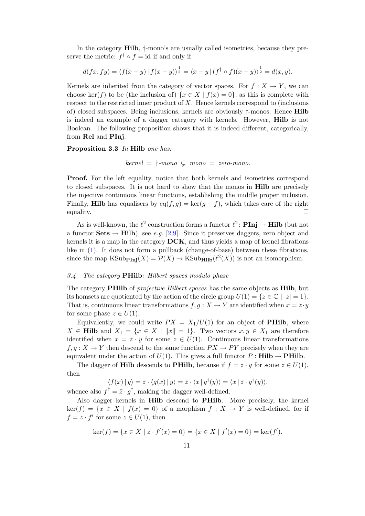In the category Hilb, †-mono's are usually called isometries, because they preserve the metric:  $f^{\dagger} \circ f = id$  if and only if

$$
d(fx, fy) = \langle f(x - y) | f(x - y) \rangle^{\frac{1}{2}} = \langle x - y | (f^{\dagger} \circ f)(x - y) \rangle^{\frac{1}{2}} = d(x, y).
$$

Kernels are inherited from the category of vector spaces. For  $f : X \to Y$ , we can choose ker(f) to be (the inclusion of)  $\{x \in X \mid f(x) = 0\}$ , as this is complete with respect to the restricted inner product of  $X$ . Hence kernels correspond to (inclusions of) closed subspaces. Being inclusions, kernels are obviously †-monos. Hence Hilb is indeed an example of a dagger category with kernels. However, Hilb is not Boolean. The following proposition shows that it is indeed different, categorically, from Rel and PInj.

Proposition 3.3 In Hilb one has:

 $kernel = \dagger$ -mono  $\subsetneq$  mono = zero-mono.

Proof. For the left equality, notice that both kernels and isometries correspond to closed subspaces. It is not hard to show that the monos in Hilb are precisely the injective continuous linear functions, establishing the middle proper inclusion. Finally, **Hilb** has equalisers by eq(f, g) = ker(g – f), which takes care of the right equality.  $\Box$ 

As is well-known, the  $\ell^2$  construction forms a functor  $\ell^2$ : **PInj**  $\rightarrow$  **Hilb** (but not a functor Sets  $\rightarrow$  Hilb), see e.g. [\[2](#page-22-7)[,9\]](#page-22-8). Since it preserves daggers, zero object and kernels it is a map in the category DCK, and thus yields a map of kernel fibrations like in [\(1\)](#page-4-0). It does not form a pullback (change-of-base) between these fibrations, since the map  $\text{KSub}_{\text{Pinj}}(X) = \mathcal{P}(X) \to \text{KSub}_{\text{Hilb}}(\ell^2(X))$  is not an isomorphism.

## 3.4 The category PHilb: Hilbert spaces modulo phase

The category **PHilb** of *projective Hilbert spaces* has the same objects as **Hilb**, but its homsets are quotiented by the action of the circle group  $U(1) = \{z \in \mathbb{C} \mid |z| = 1\}.$ That is, continuous linear transformations  $f, g: X \to Y$  are identified when  $x = z \cdot y$ for some phase  $z \in U(1)$ .

Equivalently, we could write  $PX = X_1/U(1)$  for an object of **PHilb**, where  $X \in \mathbf{Hilb}$  and  $X_1 = \{x \in X \mid ||x|| = 1\}$ . Two vectors  $x, y \in X_1$  are therefore identified when  $x = z \cdot y$  for some  $z \in U(1)$ . Continuous linear transformations  $f, g: X \to Y$  then descend to the same function  $PX \to PY$  precisely when they are equivalent under the action of  $U(1)$ . This gives a full functor  $P : \textbf{Hilb} \to \textbf{PHilb}$ .

The dagger of **Hilb** descends to **PHilb**, because if  $f = z \cdot g$  for some  $z \in U(1)$ , then

$$
\langle f(x) | y \rangle = \overline{z} \cdot \langle g(x) | y \rangle = \overline{z} \cdot \langle x | g^{\dagger}(y) \rangle = \langle x | \overline{z} \cdot g^{\dagger}(y) \rangle,
$$

whence also  $f^{\dagger} = \bar{z} \cdot g^{\dagger}$ , making the dagger well-defined.

Also dagger kernels in Hilb descend to PHilb. More precisely, the kernel  $\ker(f) = \{x \in X \mid f(x) = 0\}$  of a morphism  $f: X \to Y$  is well-defined, for if  $f = z \cdot f'$  for some  $z \in U(1)$ , then

$$
\ker(f) = \{ x \in X \mid z \cdot f'(x) = 0 \} = \{ x \in X \mid f'(x) = 0 \} = \ker(f').
$$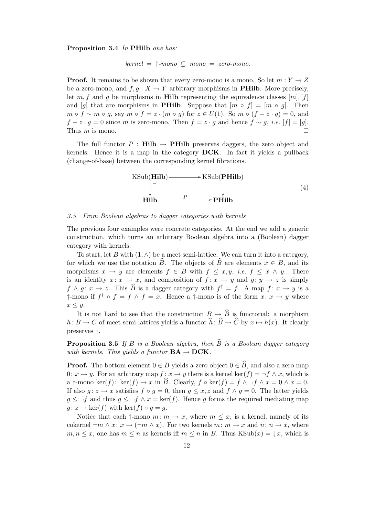## Proposition 3.4 In PHilb one has:

 $kernel = \dagger$ -mono  $\subsetneq$  mono = zero-mono.

**Proof.** It remains to be shown that every zero-mono is a mono. So let  $m: Y \to Z$ be a zero-mono, and  $f, g: X \to Y$  arbitrary morphisms in **PHilb**. More precisely, let m, f and g be morphisms in **Hilb** representing the equivalence classes  $[m], [f]$ and [g] that are morphisms in **PHilb**. Suppose that  $[m \circ f] = [m \circ g]$ . Then  $m \circ f \sim m \circ g$ , say  $m \circ f = z \cdot (m \circ g)$  for  $z \in U(1)$ . So  $m \circ (f - z \cdot g) = 0$ , and  $f - z \cdot g = 0$  since m is zero-mono. Then  $f = z \cdot g$  and hence  $f \sim g$ , *i.e.* [f] = [g]. Thus  $m$  is mono.

The full functor P : **Hilb**  $\rightarrow$  **PHilb** preserves daggers, the zero object and kernels. Hence it is a map in the category DCK. In fact it yields a pullback (change-of-base) between the corresponding kernel fibrations.



## <span id="page-11-0"></span>3.5 From Boolean algebras to dagger categories with kernels

The previous four examples were concrete categories. At the end we add a generic construction, which turns an arbitrary Boolean algebra into a (Boolean) dagger category with kernels.

To start, let B with  $(1, \wedge)$  be a meet semi-lattice. We can turn it into a category, for which we use the notation B. The objects of B are elements  $x \in B$ , and its morphisms  $x \to y$  are elements  $f \in B$  with  $f \leq x, y$ , *i.e.*  $f \leq x \land y$ . There is an identity  $x: x \to x$ , and composition of  $f: x \to y$  and  $g: y \to z$  is simply  $f \wedge g: x \to z$ . This  $\widehat{B}$  is a dagger category with  $f^{\dagger} = f$ . A map  $f: x \to y$  is a †-mono if  $f^{\dagger} \circ f = f \wedge f = x$ . Hence a †-mono is of the form  $x: x \to y$  where  $x \leq y$ .

It is not hard to see that the construction  $B \mapsto \widehat{B}$  is functorial: a morphism  $h: B \to C$  of meet semi-lattices yields a functor  $\hat{h}: \hat{B} \to \hat{C}$  by  $x \mapsto h(x)$ . It clearly preserves †.

**Proposition 3.5** If B is a Boolean algebra, then  $\widehat{B}$  is a Boolean dagger category with kernels. This yields a functor  $BA \rightarrow DCK$ .

**Proof.** The bottom element  $0 \in B$  yields a zero object  $0 \in \widehat{B}$ , and also a zero map 0:  $x \to y$ . For an arbitrary map  $f: x \to y$  there is a kernel ker $(f) = \neg f \wedge x$ , which is a †-mono ker $(f)$ : ker $(f) \to x$  in B. Clearly,  $f \circ \text{ker}(f) = f \land \neg f \land x = 0 \land x = 0$ . If also  $g: z \to x$  satisfies  $f \circ g = 0$ , then  $g \leq x, z$  and  $f \wedge g = 0$ . The latter yields  $g \leq \neg f$  and thus  $g \leq \neg f \wedge x = \ker(f)$ . Hence g forms the required mediating map  $g: z \to \text{ker}(f)$  with  $\text{ker}(f) \circ g = g$ .

Notice that each  $\dagger$ -mono  $m: m \to x$ , where  $m \leq x$ , is a kernel, namely of its cokernel  $\neg m \wedge x \colon x \to (\neg m \wedge x)$ . For two kernels  $m \colon m \to x$  and  $n \colon n \to x$ , where  $m, n \leq x$ , one has  $m \leq n$  as kernels iff  $m \leq n$  in B. Thus KSub $(x) = \downarrow x$ , which is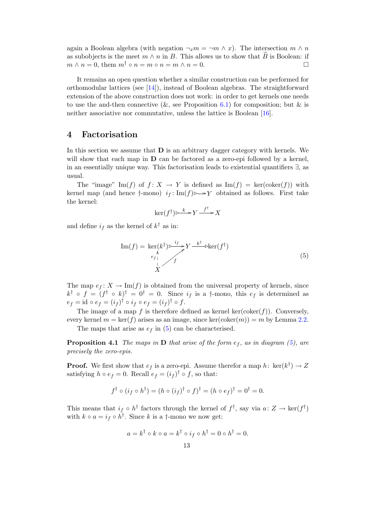again a Boolean algebra (with negation  $\neg_x m = \neg m \wedge x$ ). The intersection  $m \wedge n$ as subobjects is the meet  $m \wedge n$  in B. This allows us to show that  $\hat{B}$  is Boolean: if  $m \wedge n = 0$ , them  $m^{\dagger} \circ n = m \circ n = m \wedge n = 0$ .  $m \wedge n = 0$ , them  $m^{\dagger} \circ n = m \circ n = m \wedge n = 0$ .

It remains an open question whether a similar construction can be performed for orthomodular lattices (see [\[14\]](#page-23-7)), instead of Boolean algebras. The straightforward extension of the above construction does not work: in order to get kernels one needs to use the and-then connective  $(\&$ , see Proposition [6.1\)](#page-18-1) for composition; but  $\&$  is neither associative nor commutative, unless the lattice is Boolean [\[16\]](#page-23-8).

# <span id="page-12-0"></span>4 Factorisation

In this section we assume that  **is an arbitrary dagger category with kernels. We** will show that each map in  **can be factored as a zero-epi followed by a kernel,** in an essentially unique way. This factorisation leads to existential quantifiers ∃, as usual.

The "image" Im(f) of  $f: X \to Y$  is defined as Im(f) = ker(coker(f)) with kernel map (and hence  $\dagger$ -mono)  $i_f: \text{Im}(f) \rightarrow Y$  obtained as follows. First take the kernel:

<span id="page-12-1"></span>
$$
\ker(f^\dagger) \rightarrow{k} Y \xrightarrow{f^\dagger} X
$$

and define  $i_f$  as the kernel of  $k^{\dagger}$  as in:

$$
\operatorname{Im}(f) = \operatorname{ker}(k^{\dagger}) \triangleright \frac{i_{f}}{f} Y \xrightarrow{k^{\dagger}} \operatorname{ker}(f^{\dagger})
$$
\n
$$
\downarrow
$$
\n
$$
\downarrow
$$
\n
$$
\downarrow
$$
\n
$$
(5)
$$

The map  $e_f: X \to \text{Im}(f)$  is obtained from the universal property of kernels, since  $k^{\dagger} \circ f = (f^{\dagger} \circ k)^{\dagger} = 0^{\dagger} = 0$ . Since  $i_f$  is a  $\dagger$ -mono, this  $e_f$  is determined as  $e_f = id \circ e_f = (i_f)^\dagger \circ i_f \circ e_f = (i_f)^\dagger \circ f.$ 

The image of a map f is therefore defined as kernel  $\ker(\mathrm{coker}(f))$ . Conversely, every kernel  $m = \ker(f)$  arises as an image, since  $\ker(\text{coker}(m)) = m$  by Lemma [2.2.](#page-2-0)

The maps that arise as  $e_f$  in [\(5\)](#page-12-1) can be characterised.

<span id="page-12-2"></span>**Proposition 4.1** The maps in **D** that arise of the form  $e_f$ , as in diagram [\(5\)](#page-12-1), are precisely the zero-epis.

**Proof.** We first show that  $e_f$  is a zero-epi. Assume therefor a map h:  $\text{ker}(k^{\dagger}) \rightarrow Z$ satisfying  $h \circ e_f = 0$ . Recall  $e_f = (i_f)^\dagger \circ f$ , so that:

$$
f^{\dagger} \circ (i_f \circ h^{\dagger}) = (h \circ (i_f)^{\dagger} \circ f)^{\dagger} = (h \circ e_f)^{\dagger} = 0^{\dagger} = 0.
$$

This means that  $i_f \circ h^{\dagger}$  factors through the kernel of  $f^{\dagger}$ , say via  $a: Z \to \text{ker}(f^{\dagger})$ with  $k \circ a = i_f \circ h^{\dagger}$ . Since k is a †-mono we now get:

$$
a = k^{\dagger} \circ k \circ a = k^{\dagger} \circ i_{f} \circ h^{\dagger} = 0 \circ h^{\dagger} = 0.
$$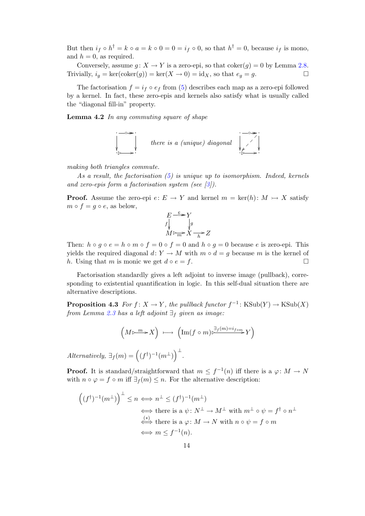But then  $i_f \circ h^{\dagger} = k \circ a = k \circ 0 = 0 = i_f \circ 0$ , so that  $h^{\dagger} = 0$ , because  $i_f$  is mono, and  $h = 0$ , as required.

Conversely, assume  $g: X \to Y$  is a zero-epi, so that coker $(g) = 0$  by Lemma [2.8.](#page-6-1) Trivially,  $i_g = \ker(\text{coker}(g)) = \ker(X \to 0) = id_X$ , so that  $e_g = g$ .

The factorisation  $f = i_f \circ e_f$  from [\(5\)](#page-12-1) describes each map as a zero-epi followed by a kernel. In fact, these zero-epis and kernels also satisfy what is usually called the "diagonal fill-in" property.

Lemma 4.2 In any commuting square of shape



making both triangles commute.

As a result, the factorisation  $(5)$  is unique up to isomorphism. Indeed, kernels and zero-epis form a factorisation system (see [\[3\]](#page-22-9)).

**Proof.** Assume the zero-epi  $e: E \to Y$  and kernel  $m = \text{ker}(h): M \to X$  satisfy  $m \circ f = g \circ e$ , as below,



Then:  $h \circ q \circ e = h \circ m \circ f = 0 \circ f = 0$  and  $h \circ q = 0$  because e is zero-epi. This yields the required diagonal d:  $Y \to M$  with  $m \circ d = q$  because m is the kernel of h. Using that m is monic we get  $d \circ e = f$ .

Factorisation standardly gives a left adjoint to inverse image (pullback), corresponding to existential quantification in logic. In this self-dual situation there are alternative descriptions.

<span id="page-13-0"></span>**Proposition 4.3** For  $f: X \to Y$ , the pullback functor  $f^{-1}: KSub(Y) \to KSub(X)$ from Lemma [2.3](#page-3-0) has a left adjoint  $\exists_f$  given as image:

$$
\left(M \triangleright \stackrel{m}{\longrightarrow} X\right) \ \longmapsto \ \left(\operatorname{Im}(f \circ m) \stackrel{\exists_f(m)=i_{f \circ m}}{\longrightarrow} Y\right)
$$

Alternatively,  $\exists f(m) = ((f^{\dagger})^{-1}(m^{\perp}))^{\perp}$ .

**Proof.** It is standard/straightforward that  $m \leq f^{-1}(n)$  iff there is a  $\varphi \colon M \to N$ with  $n \circ \varphi = f \circ m$  iff  $\exists f(m) \leq n$ . For the alternative description:

$$
((f^{\dagger})^{-1}(m^{\perp}))^{\perp} \leq n \iff n^{\perp} \leq (f^{\dagger})^{-1}(m^{\perp})
$$
  
\n
$$
\iff \text{there is a } \psi \colon N^{\perp} \to M^{\perp} \text{ with } m^{\perp} \circ \psi = f^{\dagger} \circ n^{\perp}
$$
  
\n
$$
\iff \text{there is a } \varphi \colon M \to N \text{ with } n \circ \psi = f \circ m
$$
  
\n
$$
\iff m \leq f^{-1}(n).
$$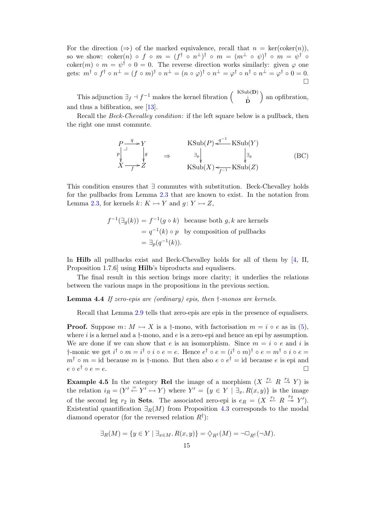For the direction  $(\Rightarrow)$  of the marked equivalence, recall that  $n = \text{ker}(\text{coker}(n))$ , so we show:  $\operatorname{coker}(n)$   $\circ$   $f$   $\circ$   $m$   $=$   $(f^{\dagger}$   $\circ$   $n^{\perp})^{\dagger}$   $\circ$   $m$   $=$   $(m^{\perp}$   $\circ$   $\psi)^{\dagger}$   $\circ$   $m$   $=$   $\psi^{\dagger}$   $\circ$ coker $(m) \circ m = \psi^{\dagger} \circ 0 = 0$ . The reverse direction works similarly: given  $\varphi$  one  ${\rm gets:}\,\; m^{\dag} \mathrel{\circ} f^{\dag} \mathrel{\circ} n^{\bot} = (f \mathrel{\circ} m)^{\dag} \mathrel{\circ} n^{\bot} = (n \mathrel{\circ} \varphi)^{\dag} \mathrel{\circ} n^{\bot} = \varphi^{\dag} \mathrel{\circ} n^{\bot} = \varphi^{\dag} \mathrel{\circ} 0 = 0.$  $\Box$ 

This adjunction  $\exists_f \dashv f^{-1}$  makes the kernel fibration  $\begin{pmatrix} KSub(D) \\ D \end{pmatrix}$  an opfibration, and thus a bifibration, see [\[13\]](#page-23-6).

Recall the *Beck-Chevalley condition*: if the left square below is a pullback, then the right one must commute.

<span id="page-14-0"></span>
$$
\begin{array}{ccc}\nP \xrightarrow{q} & Y \\
\downarrow^{p} & \downarrow^{g} \\
X \xrightarrow{f} Z & \n\end{array}\n\qquad\n\begin{array}{ccc}\n\text{KSub}(P) \xleftarrow{q^{-1}} \text{KSub}(Y) \\
\downarrow^{g} & \downarrow^{g} \\
\downarrow^{g} & \downarrow^{g} \\
\text{KSub}(X) \xleftarrow{f^{-1}} \text{KSub}(Z)\n\end{array}\n\qquad\n\begin{array}{ccc}\n\text{(BC)} \\
\downarrow^{g} & \downarrow^{g} \\
\end{array}
$$

This condition ensures that ∃ commutes with substitution. Beck-Chevalley holds for the pullbacks from Lemma [2.3](#page-3-0) that are known to exist. In the notation from Lemma [2.3,](#page-3-0) for kernels  $k: K \rightarrow Y$  and  $g: Y \rightarrow Z$ ,

$$
f^{-1}(\exists g(k)) = f^{-1}(g \circ k)
$$
 because both  $g, k$  are kernes  
=  $q^{-1}(k) \circ p$  by composition of pullbacks  
=  $\exists_p(q^{-1}(k))$ .

In Hilb all pullbacks exist and Beck-Chevalley holds for all of them by [\[4,](#page-22-10) II, Proposition 1.7.6] using Hilb's biproducts and equalisers.

The final result in this section brings more clarity; it underlies the relations between the various maps in the propositions in the previous section.

**Lemma 4.4** If zero-epis are (ordinary) epis, then  $\dagger$ -monos are kernels.

Recall that Lemma [2.9](#page-6-2) tells that zero-epis are epis in the presence of equalisers.

**Proof.** Suppose  $m: M \rightarrow X$  is a †-mono, with factorisation  $m = i \circ e$  as in [\(5\)](#page-12-1), where  $i$  is a kernel and a  $\dagger$ -mono, and  $e$  is a zero-epi and hence an epi by assumption. We are done if we can show that e is an isomorphism. Since  $m = i \circ e$  and i is †-monic we get  $i^{\dagger} \circ m = i^{\dagger} \circ i \circ e = e$ . Hence  $e^{\dagger} \circ e = (i^{\dagger} \circ m)^{\dagger} \circ e = m^{\dagger} \circ i \circ e =$  $m^{\dagger} \circ m = \text{id}$  because m is  $\dagger$ -mono. But then also  $e \circ e^{\dagger} = \text{id}$  because e is epi and  $e \circ e^{\dagger} \circ e = e.$ 

**Example 4.5** In the category **Rel** the image of a morphism  $(X \stackrel{r_1}{\leftarrow} R \stackrel{r_2}{\rightarrow} Y)$  is the relation  $i_R = (Y' \stackrel{=}{\leftarrow} Y' \rightarrowtail Y)$  where  $Y' = \{y \in Y \mid \exists_x. R(x, y)\}\$ is the image of the second leg  $r_2$  in **Sets**. The associated zero-epi is  $e_R = (X \stackrel{r_1}{\leftarrow} R \stackrel{r_2}{\rightarrow} Y')$ . Existential quantification  $\exists_R(M)$  from Proposition [4.3](#page-13-0) corresponds to the modal diamond operator (for the reversed relation  $R^{\dagger}$ ):

$$
\exists_R(M) = \{ y \in Y \mid \exists_{x \in M} . R(x, y) \} = \Diamond_{R^{\dagger}}(M) = \neg \Box_{R^{\dagger}}(\neg M).
$$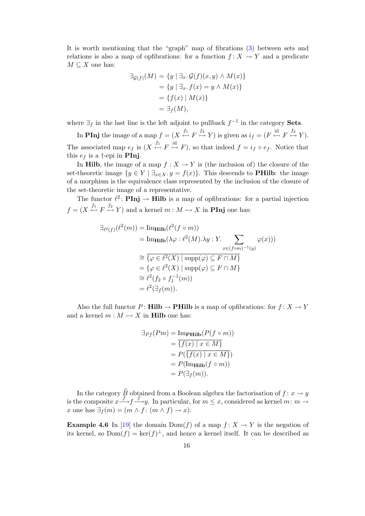It is worth mentioning that the "graph" map of fibrations [\(3\)](#page-8-0) between sets and relations is also a map of opfibrations: for a function  $f: X \to Y$  and a predicate  $M \subseteq X$  one has:

$$
\exists g(f)(M) = \{y \mid \exists_x. \mathcal{G}(f)(x, y) \land M(x)\}
$$

$$
= \{y \mid \exists_x. f(x) = y \land M(x)\}
$$

$$
= \{f(x) \mid M(x)\}
$$

$$
= \exists_f(M),
$$

where  $\exists_f$  in the last line is the left adjoint to pullback  $f^{-1}$  in the category **Sets**.

In **PInj** the image of a map  $f = (X \stackrel{f_1}{\leftarrow} F \stackrel{f_2}{\rightarrowtail} Y)$  is given as  $i_f = (F \stackrel{\text{id}}{\leftarrow} F \stackrel{f_2}{\rightarrowtail} Y)$ . The associated map  $e_f$  is  $(X \stackrel{f_1}{\leftarrow} F \stackrel{\text{id}}{\rightarrow} F)$ , so that indeed  $f = i_f \circ e_f$ . Notice that this  $e_f$  is a †-epi in **PInj**.

In **Hilb**, the image of a map  $f : X \to Y$  is (the inclusion of) the closure of the set-theoretic image  $\{y \in Y \mid \exists_{x \in X} y = f(x)\}\$ . This descends to **PHilb**: the image of a morphism is the equivalence class represented by the inclusion of the closure of the set-theoretic image of a representative.

The functor  $\ell^2$ : **PInj**  $\rightarrow$  **Hilb** is a map of opfibrations: for a partial injection  $f = (X \stackrel{f_1}{\leftarrow} F \stackrel{f_2}{\rightarrow} Y)$  and a kernel  $m : M \rightarrowtail X$  in **PInj** one has:

$$
\exists_{\ell^2(f)} (\ell^2(m)) = \text{Im}_{\mathbf{Hilb}} (\ell^2(f \circ m))
$$
\n
$$
= \text{Im}_{\mathbf{Hilb}} (\lambda \varphi : \ell^2(M). \lambda y : Y. \sum_{x \in (f \circ m)^{-1}(y)} \varphi(x)))
$$
\n
$$
\cong \overline{\{\varphi \in \ell^2(X) \mid \text{supp}(\varphi) \subseteq F \cap M\}}
$$
\n
$$
= \{\varphi \in \ell^2(X) \mid \text{supp}(\varphi) \subseteq F \cap M\}
$$
\n
$$
\cong \ell^2(f_2 \circ f_1^{-1}(m))
$$
\n
$$
= \ell^2(\exists_f(m)).
$$

Also the full functor  $P: \textbf{Hilb} \to \textbf{PHilb}$  is a map of opfibrations: for  $f: X \to Y$ and a kernel  $m : M \rightarrow X$  in **Hilb** one has:

$$
\exists_{Pf}(Pm) = \underline{\text{Im}_{\text{PHilb}}}(P(f \circ m))
$$

$$
= \overline{\{f(x) \mid x \in M\}}
$$

$$
= P(\overline{\{f(x) \mid x \in M\}})
$$

$$
= P(\underline{\text{Im}_{\text{Hilb}}}(f \circ m))
$$

$$
= P(\exists_{f}(m)).
$$

In the category  $\widehat{B}$  obtained from a Boolean algebra the factorisation of  $f: x \to y$ is the composite  $x \stackrel{f}{\longrightarrow} f \stackrel{f}{\longrightarrow} y$ . In particular, for  $m \leq x$ , considered as kernel  $m : m \to y$ x one has  $\exists_f(m) = (m \wedge f : (m \wedge f) \rightarrow x).$ 

**Example 4.6** In [\[19\]](#page-23-9) the domain  $Dom(f)$  of a map  $f: X \to Y$  is the negation of its kernel, so  $Dom(f) = ker(f)^{\perp}$ , and hence a kernel itself. It can be described as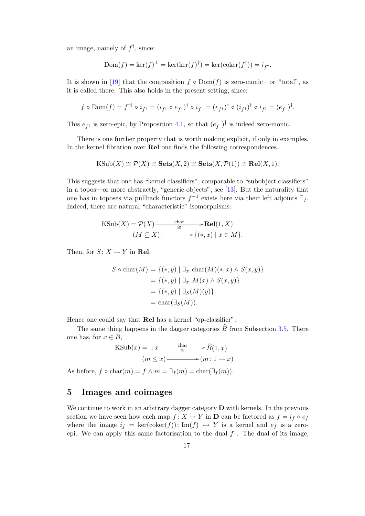an image, namely of  $f^{\dagger}$ , since:

$$
Dom(f) = \ker(f)^{\perp} = \ker(\ker(f)^{\dagger}) = \ker(\operatorname{coker}(f^{\dagger})) = i_{f^{\dagger}}.
$$

It is shown in [\[19\]](#page-23-9) that the composition  $f \circ Dom(f)$  is zero-monic—or "total", as it is called there. This also holds in the present setting, since:

$$
f \circ \text{Dom}(f) = f^{\dagger \dagger} \circ i_{f^{\dagger}} = (i_{f^{\dagger}} \circ e_{f^{\dagger}})^{\dagger} \circ i_{f^{\dagger}} = (e_{f^{\dagger}})^{\dagger} \circ (i_{f^{\dagger}})^{\dagger} \circ i_{f^{\dagger}} = (e_{f^{\dagger}})^{\dagger}.
$$

This  $e_{f^{\dagger}}$  is zero-epic, by Proposition [4.1,](#page-12-2) so that  $(e_{f^{\dagger}})^{\dagger}$  is indeed zero-monic.

There is one further property that is worth making explicit, if only in examples. In the kernel fibration over Rel one finds the following correspondences.

$$
\mathrm{KSub}(X) \cong \mathcal{P}(X) \cong \mathbf{Sets}(X,2) \cong \mathbf{Sets}(X,\mathcal{P}(1)) \cong \mathbf{Rel}(X,1).
$$

This suggests that one has "kernel classifiers", comparable to "subobject classifiers" in a topos—or more abstractly, "generic objects", see [\[13\]](#page-23-6). But the naturality that one has in toposes via pullback functors  $f^{-1}$  exists here via their left adjoints  $\exists f$ . Indeed, there are natural "characteristic" isomorphisms:

$$
\begin{aligned} \text{KSub}(X) &= \mathcal{P}(X) \xrightarrow{\text{char}} \mathbf{Rel}(1, X) \\ (M \subseteq X) & \xrightarrow{\text{char}} \{(*, x) \mid x \in M\}. \end{aligned}
$$

Then, for  $S: X \to Y$  in Rel,

$$
S \circ \text{char}(M) = \{(*, y) \mid \exists_x \text{ char}(M)(*, x) \land S(x, y) \}
$$
  
= \{(\*, y) \mid \exists\_x \space M(x) \land S(x, y) \}  
= \{(\*, y) \mid \exists\_S(M)(y) \}  
= \text{char}(\exists\_S(M)).

Hence one could say that Rel has a kernel "op-classifier".

The same thing happens in the dagger categories  $\widehat{B}$  from Subsection [3.5.](#page-11-0) There one has, for  $x \in B$ ,

$$
KSub(x) = \downarrow x \xrightarrow{\text{char}} \hat{B}(1, x)
$$

$$
(m \le x) \longmapsto (m: 1 \to x)
$$

As before,  $f \circ char(m) = f \wedge m = \exists_f(m) = char(\exists_f(m))$ .

# <span id="page-16-0"></span>5 Images and coimages

We continue to work in an arbitrary dagger category  **with kernels. In the previous** section we have seen how each map  $f: X \to Y$  in **D** can be factored as  $f = i_f \circ e_f$ where the image  $i_f = \ker(\text{coker}(f))$ : Im $(f) \rightarrow Y$  is a kernel and  $e_f$  is a zeroepi. We can apply this same factorisation to the dual  $f^{\dagger}$ . The dual of its image,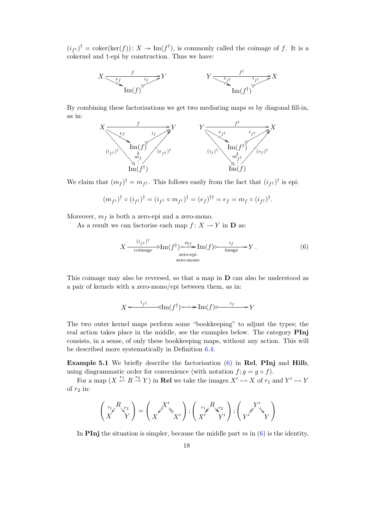$(i_{f^{\dagger}})^{\dagger} = \text{coker}(\text{ker}(f)) : X \twoheadrightarrow \text{Im}(f^{\dagger}),$  is commonly called the coimage of f. It is a cokernel and †-epi by construction. Thus we have:



By combining these factorisations we get two mediating maps  $m$  by diagonal fill-in, as in:



We claim that  $(m_f)^\dagger = m_{f^\dagger}$ . This follows easily from the fact that  $(i_{f^\dagger})^\dagger$  is epi:

$$
(m_{f^{\dagger}})^{\dagger} \circ (i_{f^{\dagger}})^{\dagger} = (i_{f^{\dagger}} \circ m_{f^{\dagger}})^{\dagger} = (e_{f})^{\dagger \dagger} = e_{f} = m_{f} \circ (i_{f^{\dagger}})^{\dagger}.
$$

Moreover,  $m_f$  is both a zero-epi and a zero-mono.

As a result we can factorise each map  $f: X \to Y$  in **D** as:

$$
X \frac{(i_{f^{\dagger}})^{\dagger}}{\text{coimage}} \rightarrow \text{Im}(f^{\dagger}) \rightarrow \text{Im}(f) \rightarrow \text{Im}(f) \rightarrow \text{Im}(f) \rightarrow Y. \tag{6}
$$
  
zero-epi  
zero-mono

This coimage may also be reversed, so that a map in D can also be understood as a pair of kernels with a zero-mono/epi between them, as in:

$$
X \xleftarrow{i_{f}t} \text{Im}(f^{\dagger}) \longrightarrow \text{Im}(f) \xrightarrow{i_{f}} Y
$$

The two outer kernel maps perform some "bookkeeping" to adjust the types; the real action takes place in the middle, see the examples below. The category PInj consists, in a sense, of only these bookkeeping maps, without any action. This will be described more systematically in Definition [6.4.](#page-20-0)

Example 5.1 We briefly describe the factorisation [\(6\)](#page-14-0) in Rel, PInj and Hilb, using diagrammatic order for convenience (with notation  $f; g = g \circ f$ ).

For a map  $(X \stackrel{r_1}{\leftarrow} R \stackrel{r_2}{\rightarrow} Y)$  in **Rel** we take the images  $X' \rightarrowtail X$  of  $r_1$  and  $Y' \rightarrowtail Y$ of  $r_2$  in:

$$
\begin{pmatrix} r_1 \cancel{K}^{R} r_2 \\ X \end{pmatrix} = \begin{pmatrix} X' \\ X \end{pmatrix}; \begin{pmatrix} r_1 \cancel{K}^{R} r_2 \\ X' \end{pmatrix}; \begin{pmatrix} Y' \\ Y' \end{pmatrix}
$$

In **PInj** the situation is simpler, because the middle part  $m$  in  $(6)$  is the identity,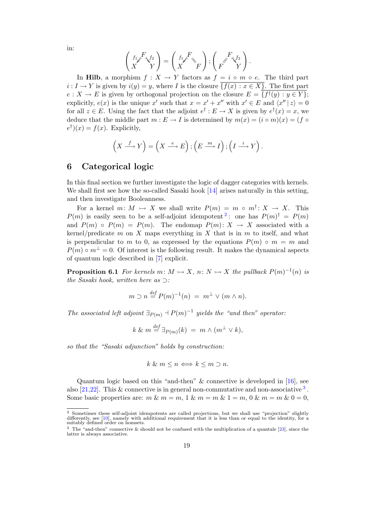$$
\begin{pmatrix} f_1 \cancel{F} \chi f_2 \\ X \end{pmatrix} = \begin{pmatrix} f_1 \cancel{F} \\ X \end{pmatrix}; \begin{pmatrix} F \\ F \end{pmatrix}; \begin{pmatrix} F \\ Y \end{pmatrix}.
$$

In Hilb, a morphism  $f: X \to Y$  factors as  $f = i \circ m \circ e$ . The third part  $i: I \to Y$  is given by  $i(y) = y$ , where I is the closure  $\overline{\{f(x) : x \in X\}}$ . The first part  $e: X \to E$  is given by orthogonal projection on the closure  $E = \{f^{\dagger}(y) : y \in Y\}$ ; explicitly,  $e(x)$  is the unique x' such that  $x = x' + x''$  with  $x' \in E$  and  $\langle x'' | z \rangle = 0$ for all  $z \in E$ . Using the fact that the adjoint  $e^{\dagger} : E \to X$  is given by  $e^{\dagger}(x) = x$ , we deduce that the middle part  $m : E \to I$  is determined by  $m(x) = (i \circ m)(x) = (f \circ$  $e^{\dagger}$  $(x) = f(x)$ . Explicitly,

$$
\left(X \xrightarrow{f} Y\right) = \left(X \xrightarrow{e} E\right); \left(E \xrightarrow{m} I\right); \left(I \xrightarrow{i} Y\right).
$$

# <span id="page-18-0"></span>6 Categorical logic

In this final section we further investigate the logic of dagger categories with kernels. We shall first see how the so-called Sasaki hook [\[14\]](#page-23-7) arises naturally in this setting, and then investigate Booleanness.

For a kernel  $m: M \rightarrow X$  we shall write  $P(m) = m \circ m^{\dagger}: X \rightarrow X$ . This  $P(m)$  is easily seen to be a self-adjoint idempotent<sup>[2](#page-18-2)</sup>: one has  $P(m)^{\dagger} = P(m)$ and  $P(m) \circ P(m) = P(m)$ . The endomap  $P(m): X \to X$  associated with a kernel/predicate m on X maps everything in X that is in m to itself, and what is perpendicular to m to 0, as expressed by the equations  $P(m) \circ m = m$  and  $P(m) \circ m^{\perp} = 0$ . Of interest is the following result. It makes the dynamical aspects of quantum logic described in [\[7\]](#page-22-11) explicit.

<span id="page-18-1"></span>**Proposition 6.1** For kernels  $m: M \rightarrow X$ ,  $n: N \rightarrow X$  the pullback  $P(m)^{-1}(n)$  is the Sasaki hook, written here as ⊃:

$$
m \supset n \stackrel{\text{def}}{=} P(m)^{-1}(n) = m^{\perp} \vee (m \wedge n).
$$

The associated left adjoint  $\exists_{P(m)} \dashv P(m)^{-1}$  yields the "and then" operator:

$$
k \& m \stackrel{def}{=} \exists_{P(m)}(k) = m \wedge (m^{\perp} \vee k),
$$

so that the "Sasaki adjunction" holds by construction:

$$
k \& m \le n \Longleftrightarrow k \le m \supset n.
$$

Quantum logic based on this "and-then" & connective is developed in [\[16\]](#page-23-8), see also  $[21,22]$  $[21,22]$ . This & connective is in general non-commutative and non-associative  $^3$  $^3$ . Some basic properties are:  $m \& m = m, 1 \& m = m \& 1 = m, 0 \& m = m \& 0 = 0$ ,

in:

<span id="page-18-2"></span><sup>&</sup>lt;sup>2</sup> Sometimes these self-adjoint idempotents are called projections, but we shall use "projection" slightly differently, see [\[10\]](#page-22-6), namely with additional requirement that it is less than or equal to the identity, for a suitably defined order on homsets.

<span id="page-18-3"></span> $3$  The "and-then" connective  $\&$  should not be confused with the multiplication of a quantale [\[23\]](#page-23-12), since the latter is always associative.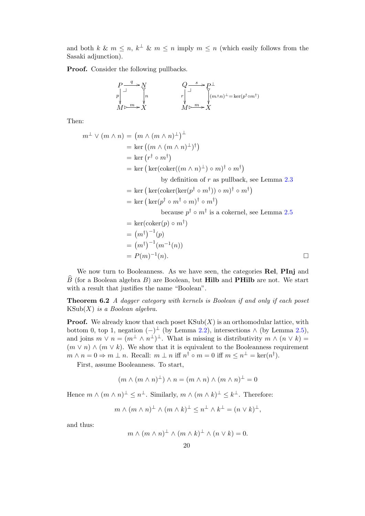and both k &  $m \leq n$ ,  $k^{\perp}$  &  $m \leq n$  imply  $m \leq n$  (which easily follows from the Sasaki adjunction).

Proof. Consider the following pullbacks.

$$
\begin{array}{ccc}\nP\xrightarrow{q} & N & Q\xrightarrow{s} & P\xrightarrow{1} \\
p\xrightarrow{1} & \gamma & r\xrightarrow{1} & \gamma \\
M \triangleright \frac{m}{X} & X & M \triangleright \frac{m}{X} & X\n\end{array}
$$

Then:

$$
m^{\perp} \vee (m \wedge n) = (m \wedge (m \wedge n)^{\perp})^{\perp}
$$
  
\n
$$
= \ker ((m \wedge (m \wedge n)^{\perp})^{\dagger})
$$
  
\n
$$
= \ker (r^{\dagger} \circ m^{\dagger})
$$
  
\n
$$
= \ker (\ker(\operatorname{coker}((m \wedge n)^{\perp}) \circ m)^{\dagger} \circ m^{\dagger})
$$
  
\nby definition of *r* as pullback, see Lemma 2.3  
\n
$$
= \ker (\ker(\operatorname{coker}(\ker(p^{\dagger} \circ m^{\dagger})) \circ m)^{\dagger} \circ m^{\dagger})
$$
  
\n
$$
= \ker (\ker(p^{\dagger} \circ m^{\dagger} \circ m)^{\dagger} \circ m^{\dagger})
$$
  
\nbecause  $p^{\dagger} \circ m^{\dagger}$  is a cokernel, see Lemma 2.5  
\n
$$
= \ker(\operatorname{coker}(p) \circ m^{\dagger})
$$
  
\n
$$
= (m^{\dagger})^{-1}(p)
$$
  
\n
$$
= (m^{\dagger})^{-1}(m^{-1}(n))
$$
  
\n
$$
= P(m)^{-1}(n).
$$

We now turn to Booleanness. As we have seen, the categories Rel, PInj and  $B$  (for a Boolean algebra B) are Boolean, but **Hilb** and **PHilb** are not. We start with a result that justifies the name "Boolean".

<span id="page-19-0"></span>Theorem 6.2 A dagger category with kernels is Boolean if and only if each poset  $KSub(X)$  is a Boolean algebra.

**Proof.** We already know that each poset  $\text{KSub}(X)$  is an orthomodular lattice, with bottom 0, top 1, negation  $(-)$ <sup>⊥</sup> (by Lemma [2.2\)](#page-2-0), intersections  $\wedge$  (by Lemma [2.5\)](#page-4-2), and joins  $m \vee n = (m^{\perp} \wedge n^{\perp})^{\perp}$ . What is missing is distributivity  $m \wedge (n \vee k) =$  $(m \vee n) \wedge (m \vee k)$ . We show that it is equivalent to the Booleanness requirement  $m \wedge n = 0 \Rightarrow m \perp n$ . Recall:  $m \perp n$  iff  $n^{\dagger} \circ m = 0$  iff  $m \leq n^{\perp} = \text{ker}(n^{\dagger})$ .

First, assume Booleanness. To start,

$$
(m \wedge (m \wedge n)^{\perp}) \wedge n = (m \wedge n) \wedge (m \wedge n)^{\perp} = 0
$$

Hence  $m \wedge (m \wedge n)^{\perp} \leq n^{\perp}$ . Similarly,  $m \wedge (m \wedge k)^{\perp} \leq k^{\perp}$ . Therefore:

$$
m \wedge (m \wedge n)^{\perp} \wedge (m \wedge k)^{\perp} \leq n^{\perp} \wedge k^{\perp} = (n \vee k)^{\perp},
$$

and thus:

$$
m \wedge (m \wedge n)^{\perp} \wedge (m \wedge k)^{\perp} \wedge (n \vee k) = 0.
$$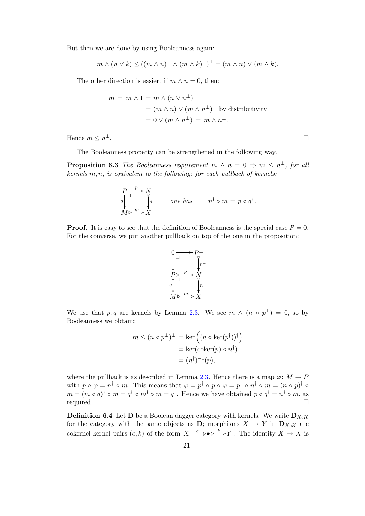But then we are done by using Booleanness again:

$$
m \wedge (n \vee k) \le ((m \wedge n)^{\perp} \wedge (m \wedge k)^{\perp})^{\perp} = (m \wedge n) \vee (m \wedge k).
$$

The other direction is easier: if  $m \wedge n = 0$ , then:

$$
m = m \land 1 = m \land (n \lor n^{\perp})
$$
  
=  $(m \land n) \lor (m \land n^{\perp})$  by distributivity  
=  $0 \lor (m \land n^{\perp}) = m \land n^{\perp}.$ 

Hence  $m \leq n^{\perp}$ . <sup>⊥</sup>.

The Booleanness property can be strengthened in the following way.

<span id="page-20-1"></span>**Proposition 6.3** The Booleanness requirement  $m \wedge n = 0 \Rightarrow m \leq n^{\perp}$ , for all kernels  $m, n$ , is equivalent to the following: for each pullback of kernels:

$$
P \xrightarrow{p} N
$$
  
\n
$$
q \downarrow^{\text{max}} \qquad \text{one has} \qquad n^{\dagger} \circ m = p \circ q^{\dagger}.
$$
  
\n
$$
M \triangleright^m \rightarrow X
$$

**Proof.** It is easy to see that the definition of Booleanness is the special case  $P = 0$ . For the converse, we put another pullback on top of the one in the proposition:



We use that p, q are kernels by Lemma [2.3.](#page-3-0) We see  $m \wedge (n \circ p^{\perp}) = 0$ , so by Booleanness we obtain:

$$
m \le (n \circ p^{\perp})^{\perp} = \ker \left( (n \circ \ker(p^{\dagger}))^{\dagger} \right)
$$

$$
= \ker(\operatorname{coker}(p) \circ n^{\dagger})
$$

$$
= (n^{\dagger})^{-1}(p),
$$

where the pullback is as described in Lemma [2.3.](#page-3-0) Hence there is a map  $\varphi: M \to P$ with  $p \circ \varphi = n^{\dagger} \circ m$ . This means that  $\varphi = p^{\dagger} \circ p \circ \varphi = p^{\dagger} \circ n^{\dagger} \circ m = (n \circ p)^{\dagger} \circ$  $m = (m \circ q)^{\dagger} \circ m = q^{\dagger} \circ m^{\dagger} \circ m = q^{\dagger}$ . Hence we have obtained  $p \circ q^{\dagger} = n^{\dagger} \circ m$ , as required.

<span id="page-20-0"></span>**Definition 6.4** Let **D** be a Boolean dagger category with kernels. We write  $D_{KcK}$ for the category with the same objects as D; morphisms  $X \to Y$  in  $D_{KcK}$  are cokernel-kernel pairs  $(c, k)$  of the form  $X \xrightarrow{c} \rightarrow \bullet \rightarrow^k Y$ . The identity  $X \rightarrow X$  is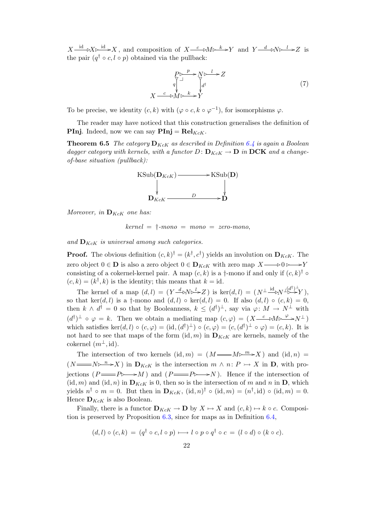$X \xrightarrow{\text{id}} X \longrightarrow X$ , and composition of  $X \xrightarrow{c} M \rightarrow X$  and  $Y \xrightarrow{d} N \rightarrow Z$  is the pair  $(q^{\dagger} \circ c, l \circ p)$  obtained via the pullback:

<span id="page-21-0"></span>
$$
P^{\triangleright} \longrightarrow N^{\triangleright} Z
$$
  
\n
$$
q \downarrow^{\text{min}} \downarrow^{\text{min}} Z
$$
  
\n
$$
X \xrightarrow{c} M \triangleright^{\text{min}} Y
$$
  
\n
$$
Y \qquad (7)
$$

To be precise, we identity  $(c, k)$  with  $(\varphi \circ c, k \circ \varphi^{-1})$ , for isomorphisms  $\varphi$ .

The reader may have noticed that this construction generalises the definition of **PInj.** Indeed, now we can say  $\text{Pin}j = \text{Rel}_{KcK}$ .

**Theorem 6.5** The category  $D_{KcK}$  as described in Definition [6.4](#page-20-0) is again a Boolean dagger category with kernels, with a functor  $D: \mathbf{D}_{KcK} \to \mathbf{D}$  in  $\mathbf{DCK}$  and a changeof-base situation (pullback):



Moreover, in  $\mathbf{D}_{KcK}$  one has:

 $kernel = \dagger$ -mono = mono = zero-mono,

and  $\mathbf{D}_{KcK}$  is universal among such categories.

**Proof.** The obvious definition  $(c, k)^{\dagger} = (k^{\dagger}, c^{\dagger})$  yields an involution on  $\mathbf{D}_{KcK}$ . The zero object  $0 \in \mathbf{D}$  is also a zero object  $0 \in \mathbf{D}_{KcK}$  with zero map  $X \longrightarrow 0 \longrightarrow Y$ consisting of a cokernel-kernel pair. A map  $(c, k)$  is a †-mono if and only if  $(c, k)$ <sup>†</sup>  $\circ$  $(c, k) = (k^{\dagger}, k)$  is the identity; this means that  $k = id$ .

The kernel of a map  $(d, l) = (Y \rightarrow N \rightarrow Z)$  is ker $(d, l) = (N \rightarrow M \rightarrow N \rightarrow Y)$ , so that ker $(d, l)$  is a †-mono and  $(d, l) \circ \text{ker}(d, l) = 0$ . If also  $(d, l) \circ (c, k) = 0$ , then  $k \wedge d^{\dagger} = 0$  so that by Booleanness,  $k \leq (d^{\dagger})^{\perp}$ , say via  $\varphi \colon M \to N^{\perp}$  with  $(d^{\dagger})^{\perp} \circ \varphi = k$ . Then we obtain a mediating map  $(c, \varphi) = (X - c) \circ M \varphi \circ N^{\perp}$ which satisfies  $\ker(d, l) \circ (c, \varphi) = (\mathrm{id}, (d^{\dagger})^{\perp}) \circ (c, \varphi) = (c, (d^{\dagger})^{\perp} \circ \varphi) = (c, k)$ . It is not hard to see that maps of the form  $(id, m)$  in  $D_{KcK}$  are kernels, namely of the cokernel  $(m^{\perp}, \text{id}).$ 

The intersection of two kernels  $(id, m) = (M \longrightarrow M \rightarrow M)$  and  $(id, n) =$  $(N \longrightarrow N \rightarrow X)$  in  $\mathbf{D}_{KcK}$  is the intersection  $m \wedge n: P \rightarrow X$  in  $\mathbf{D}$ , with projections  $(P \longrightarrow P \longrightarrow M)$  and  $(P \longrightarrow P \longrightarrow N)$ . Hence if the intersection of  $(id, m)$  and  $(id, n)$  in  $\mathbf{D}_{KcK}$  is 0, then so is the intersection of m and n in  $\mathbf{D}$ , which yields  $n^{\dagger} \circ m = 0$ . But then in  $\mathbf{D}_{KcK}$ ,  $(\mathrm{id}, n)^{\dagger} \circ (\mathrm{id}, m) = (n^{\dagger}, \mathrm{id}) \circ (\mathrm{id}, m) = 0$ . Hence  $\mathbf{D}_{KcK}$  is also Boolean.

Finally, there is a functor  $\mathbf{D}_{KcK} \to \mathbf{D}$  by  $X \mapsto X$  and  $(c, k) \mapsto k \circ c$ . Composition is preserved by Proposition [6.3,](#page-20-1) since for maps as in Definition [6.4,](#page-20-0)

$$
(d,l)\circ (c,k) = (q^{\dagger} \circ c, l \circ p) \longmapsto l \circ p \circ q^{\dagger} \circ c = (l \circ d) \circ (k \circ c).
$$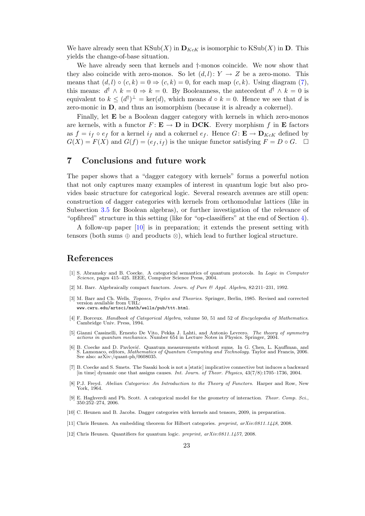We have already seen that  $\text{KSub}(X)$  in  $\mathbf{D}_{KcK}$  is isomorphic to  $\text{KSub}(X)$  in  $\mathbf{D}$ . This yields the change-of-base situation.

We have already seen that kernels and  $\dagger$ -monos coincide. We now show that they also coincide with zero-monos. So let  $(d, l): Y \to Z$  be a zero-mono. This means that  $(d, l) \circ (c, k) = 0 \Rightarrow (c, k) = 0$ , for each map  $(c, k)$ . Using diagram [\(7\)](#page-21-0), this means:  $d^{\dagger} \wedge k = 0 \Rightarrow k = 0$ . By Booleanness, the antecedent  $d^{\dagger} \wedge k = 0$  is equivalent to  $k \leq (d^{\dagger})^{\perp} = \text{ker}(d)$ , which means  $d \circ k = 0$ . Hence we see that d is zero-monic in D, and thus an isomorphism (because it is already a cokernel).

Finally, let **E** be a Boolean dagger category with kernels in which zero-monos are kernels, with a functor  $F: \mathbf{E} \to \mathbf{D}$  in **DCK**. Every morphism f in **E** factors as  $f = i_f \circ e_f$  for a kernel  $i_f$  and a cokernel  $e_f$ . Hence  $G: \mathbf{E} \to \mathbf{D}_{KcK}$  defined by  $G(X) = F(X)$  and  $G(f) = (e_f, i_f)$  is the unique functor satisfying  $F = D \circ G$ .  $\Box$ 

# 7 Conclusions and future work

The paper shows that a "dagger category with kernels" forms a powerful notion that not only captures many examples of interest in quantum logic but also provides basic structure for categorical logic. Several research avenues are still open: construction of dagger categories with kernels from orthomodular lattices (like in Subsection [3.5](#page-11-0) for Boolean algebras), or further investigation of the relevance of "opfibred" structure in this setting (like for "op-classifiers" at the end of Section [4\)](#page-12-0).

A follow-up paper [\[10\]](#page-22-6) is in preparation; it extends the present setting with tensors (both sums  $oplus$  and products  $\otimes$ ), which lead to further logical structure.

## References

- <span id="page-22-0"></span>[1] S. Abramsky and B. Coecke. A categorical semantics of quantum protocols. In Logic in Computer Science, pages 415–425. IEEE, Computer Science Press, 2004.
- <span id="page-22-7"></span>[2] M. Barr. Algebraically compact functors. Journ. of Pure & Appl. Algebra, 82:211-231, 1992.
- <span id="page-22-9"></span>[3] M. Barr and Ch. Wells. Toposes, Triples and Theories. Springer, Berlin, 1985. Revised and corrected version available from URL: www.cwru.edu/artsci/math/wells/pub/ttt.html.
- <span id="page-22-10"></span>[4] F. Borceux. Handbook of Categorical Algebra, volume 50, 51 and 52 of Encyclopedia of Mathematics. Cambridge Univ. Press, 1994.
- <span id="page-22-5"></span>[5] Gianni Cassinelli, Ernesto De Vito, Pekka J. Lahti, and Antonio Levrero. The theory of symmetry actions in quantum mechanics. Number 654 in Lecture Notes in Physics. Springer, 2004.
- <span id="page-22-1"></span>[6] B. Coecke and D. Pavlović. Quantum measurements without sums. In G. Chen, L. Kauffman, and S. Lamonaco, editors, Mathematics of Quantum Computing and Technology. Taylor and Francis, 2006. See also: arXiv:/quant-ph/0608035.
- <span id="page-22-11"></span>[7] B. Coecke and S. Smets. The Sasaki hook is not a [static] implicative connective but induces a backward [in time] dynamic one that assigns causes. Int. Journ. of Theor. Physics, 43(7/8):1705–1736, 2004.
- <span id="page-22-4"></span>[8] P.J. Freyd. Abelian Categories: An Introduction to the Theory of Functors. Harper and Row, New York, 1964.
- <span id="page-22-8"></span>[9] E. Haghverdi and Ph. Scott. A categorical model for the geometry of interaction. Theor. Comp. Sci., 350:252–274, 2006.
- <span id="page-22-6"></span>[10] C. Heunen and B. Jacobs. Dagger categories with kernels and tensors, 2009, in preparation.
- <span id="page-22-3"></span>[11] Chris Heunen. An embedding theorem for Hilbert categories. preprint, arXiv:0811.1448, 2008.
- <span id="page-22-2"></span>[12] Chris Heunen. Quantifiers for quantum logic. preprint, arXiv:0811.1457, 2008.